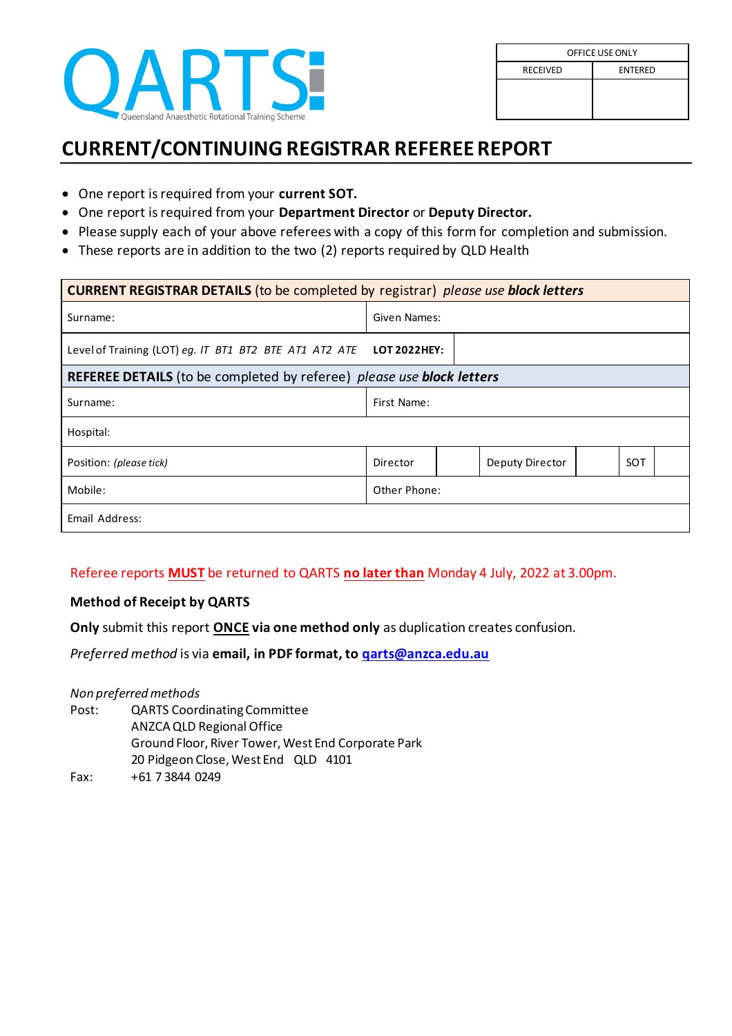

## **CURRENT/CONTINUING REGISTRAR REFEREE REPORT**

- One report is required from your **current SOT.**
- One report is required from your **Department Director** or **Deputy Director.**
- Please supply each of your above referees with a copy of this form for completion and submission.
- These reports are in addition to the two (2) reports required by QLD Health

| <b>CURRENT REGISTRAR DETAILS</b> (to be completed by registrar) please use block letters |              |                 |            |  |  |  |  |
|------------------------------------------------------------------------------------------|--------------|-----------------|------------|--|--|--|--|
| Surname:                                                                                 | Given Names: |                 |            |  |  |  |  |
| Level of Training (LOT) eq. IT BT1 BT2 BTE AT1 AT2 ATE LOT 2022HEY:                      |              |                 |            |  |  |  |  |
| <b>REFEREE DETAILS</b> (to be completed by referee) <i>please use block letters</i>      |              |                 |            |  |  |  |  |
| Surname:                                                                                 | First Name:  |                 |            |  |  |  |  |
| Hospital:                                                                                |              |                 |            |  |  |  |  |
| Position: (please tick)                                                                  | Director     | Deputy Director | <b>SOT</b> |  |  |  |  |
| Mobile:                                                                                  | Other Phone: |                 |            |  |  |  |  |
| Email Address:                                                                           |              |                 |            |  |  |  |  |

## Referee reports **MUST** be returned to QARTS **no later than** Monday 4 July, 2022 at 3.00pm.

## **Method of Receipt by QARTS**

**Only** submit this report **ONCE via one method only** as duplication creates confusion.

*Preferred method* is via **email, in PDF format, t[o qarts@anzca.edu.au](mailto:qarts@anzca.edu.au)**

*Non preferred methods*

- Post: QARTS Coordinating Committee ANZCA QLD Regional Office Ground Floor, River Tower, West End Corporate Park 20 Pidgeon Close, West End QLD 4101
- Fax: +61 7 3844 0249